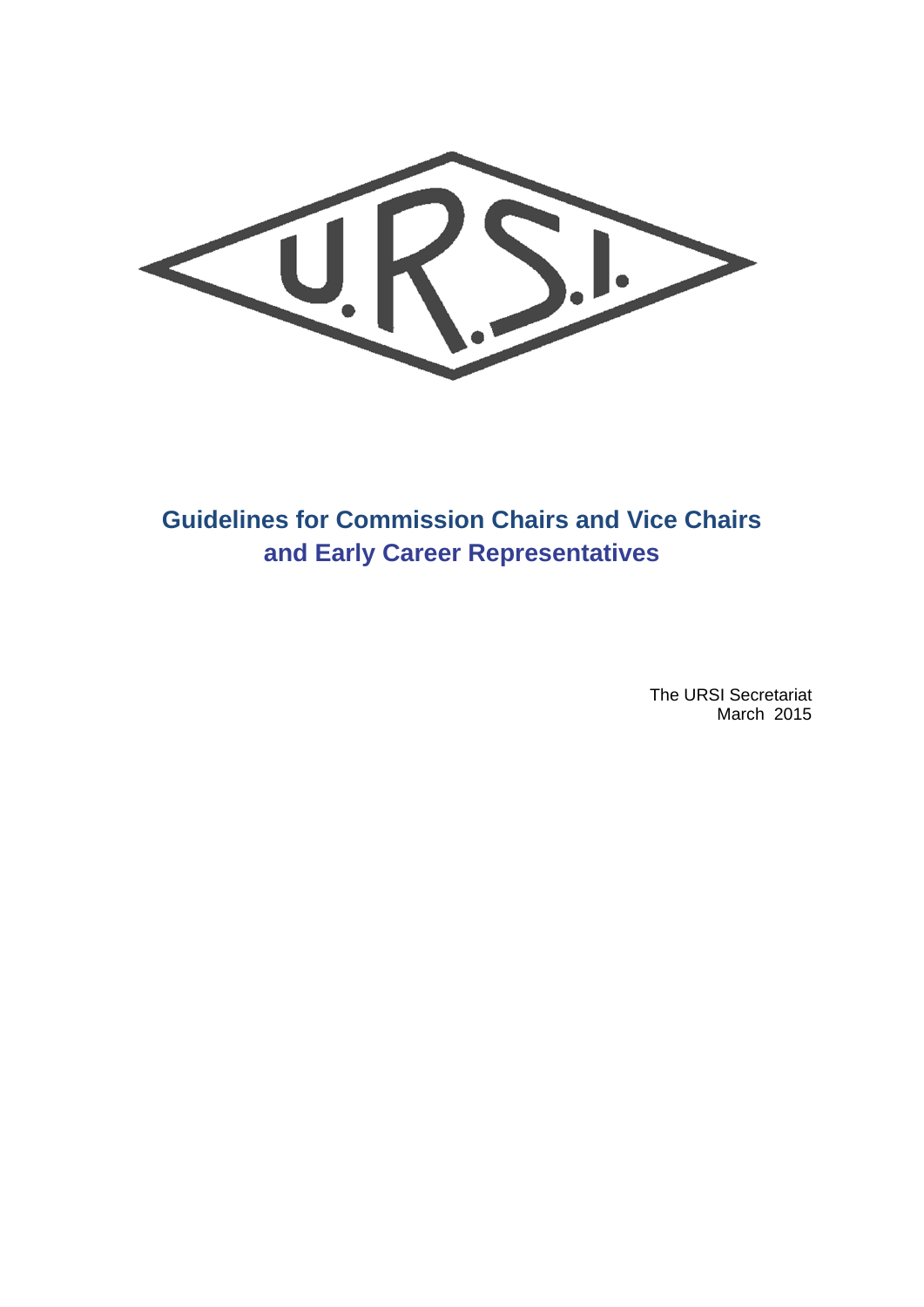> The URSI Secretariat March 2015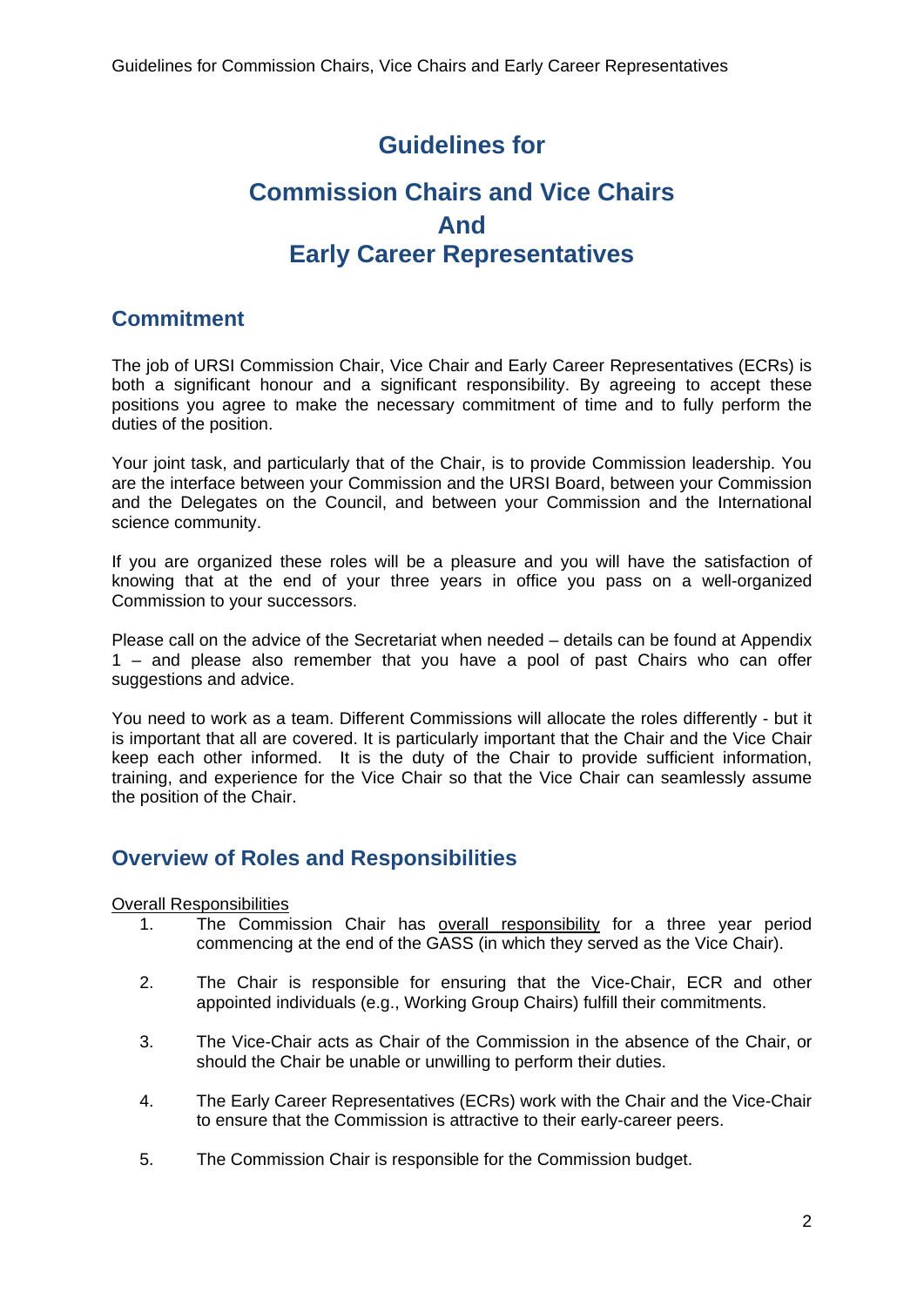# **Guidelines for**

# **Commission Chairs and Vice Chairs And Early Career Representatives**

## **Commitment**

The job of URSI Commission Chair, Vice Chair and Early Career Representatives (ECRs) is both a significant honour and a significant responsibility. By agreeing to accept these positions you agree to make the necessary commitment of time and to fully perform the duties of the position.

Your joint task, and particularly that of the Chair, is to provide Commission leadership. You are the interface between your Commission and the URSI Board, between your Commission and the Delegates on the Council, and between your Commission and the International science community.

If you are organized these roles will be a pleasure and you will have the satisfaction of knowing that at the end of your three years in office you pass on a well-organized Commission to your successors.

Please call on the advice of the Secretariat when needed – details can be found at Appendix 1 – and please also remember that you have a pool of past Chairs who can offer suggestions and advice.

You need to work as a team. Different Commissions will allocate the roles differently - but it is important that all are covered. It is particularly important that the Chair and the Vice Chair keep each other informed. It is the duty of the Chair to provide sufficient information, training, and experience for the Vice Chair so that the Vice Chair can seamlessly assume the position of the Chair.

## **Overview of Roles and Responsibilities**

#### Overall Responsibilities

- 1. The Commission Chair has overall responsibility for a three year period commencing at the end of the GASS (in which they served as the Vice Chair).
- 2. The Chair is responsible for ensuring that the Vice-Chair, ECR and other appointed individuals (e.g., Working Group Chairs) fulfill their commitments.
- 3. The Vice-Chair acts as Chair of the Commission in the absence of the Chair, or should the Chair be unable or unwilling to perform their duties.
- 4. The Early Career Representatives (ECRs) work with the Chair and the Vice-Chair to ensure that the Commission is attractive to their early-career peers.
- 5. The Commission Chair is responsible for the Commission budget.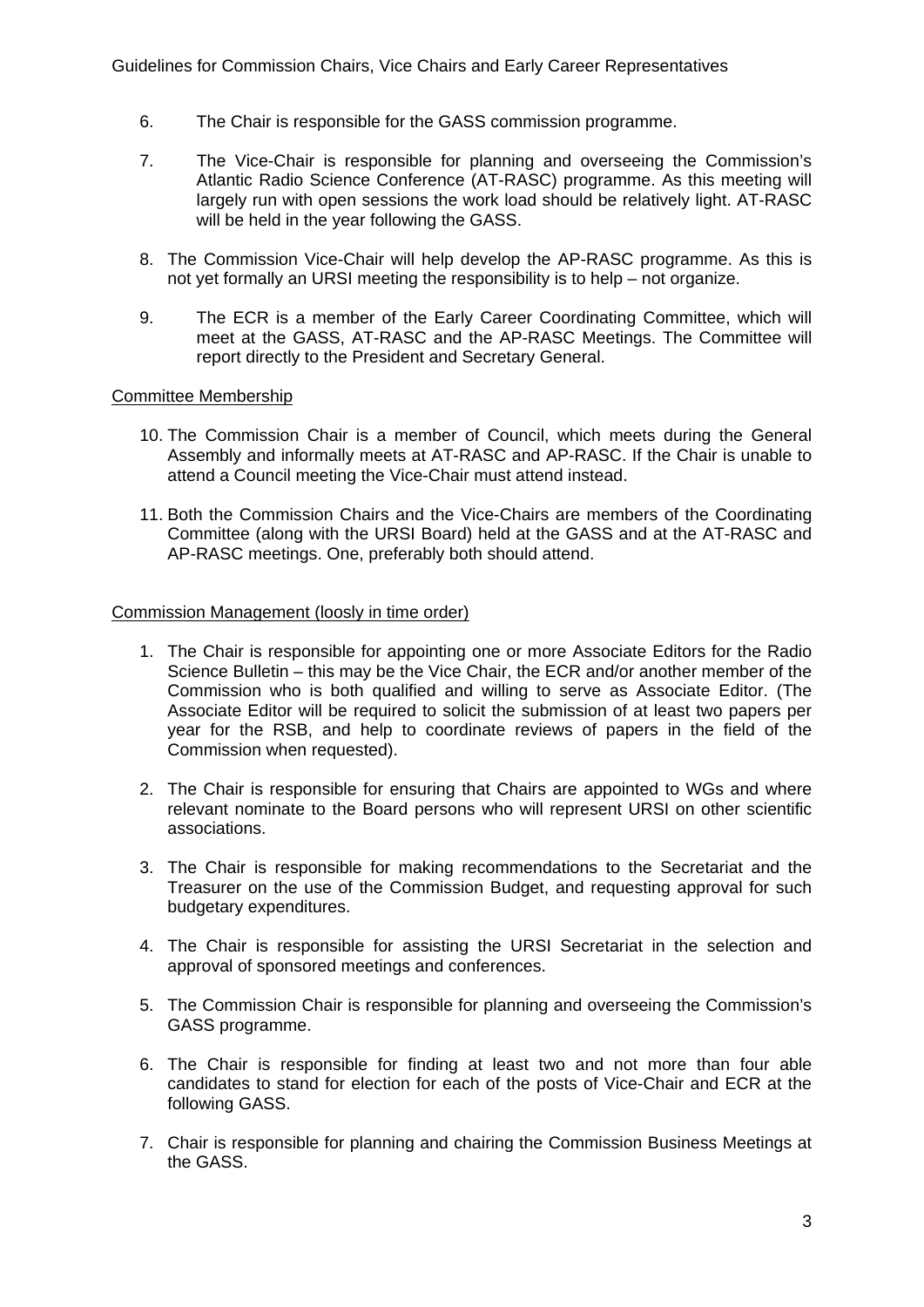- 6. The Chair is responsible for the GASS commission programme.
- 7. The Vice-Chair is responsible for planning and overseeing the Commission's Atlantic Radio Science Conference (AT-RASC) programme. As this meeting will largely run with open sessions the work load should be relatively light. AT-RASC will be held in the year following the GASS.
- 8. The Commission Vice-Chair will help develop the AP-RASC programme. As this is not yet formally an URSI meeting the responsibility is to help – not organize.
- 9. The ECR is a member of the Early Career Coordinating Committee, which will meet at the GASS, AT-RASC and the AP-RASC Meetings. The Committee will report directly to the President and Secretary General.

#### Committee Membership

- 10. The Commission Chair is a member of Council, which meets during the General Assembly and informally meets at AT-RASC and AP-RASC. If the Chair is unable to attend a Council meeting the Vice-Chair must attend instead.
- 11. Both the Commission Chairs and the Vice-Chairs are members of the Coordinating Committee (along with the URSI Board) held at the GASS and at the AT-RASC and AP-RASC meetings. One, preferably both should attend.

#### Commission Management (loosly in time order)

- 1. The Chair is responsible for appointing one or more Associate Editors for the Radio Science Bulletin – this may be the Vice Chair, the ECR and/or another member of the Commission who is both qualified and willing to serve as Associate Editor. (The Associate Editor will be required to solicit the submission of at least two papers per year for the RSB, and help to coordinate reviews of papers in the field of the Commission when requested).
- 2. The Chair is responsible for ensuring that Chairs are appointed to WGs and where relevant nominate to the Board persons who will represent URSI on other scientific associations.
- 3. The Chair is responsible for making recommendations to the Secretariat and the Treasurer on the use of the Commission Budget, and requesting approval for such budgetary expenditures.
- 4. The Chair is responsible for assisting the URSI Secretariat in the selection and approval of sponsored meetings and conferences.
- 5. The Commission Chair is responsible for planning and overseeing the Commission's GASS programme.
- 6. The Chair is responsible for finding at least two and not more than four able candidates to stand for election for each of the posts of Vice-Chair and ECR at the following GASS.
- 7. Chair is responsible for planning and chairing the Commission Business Meetings at the GASS.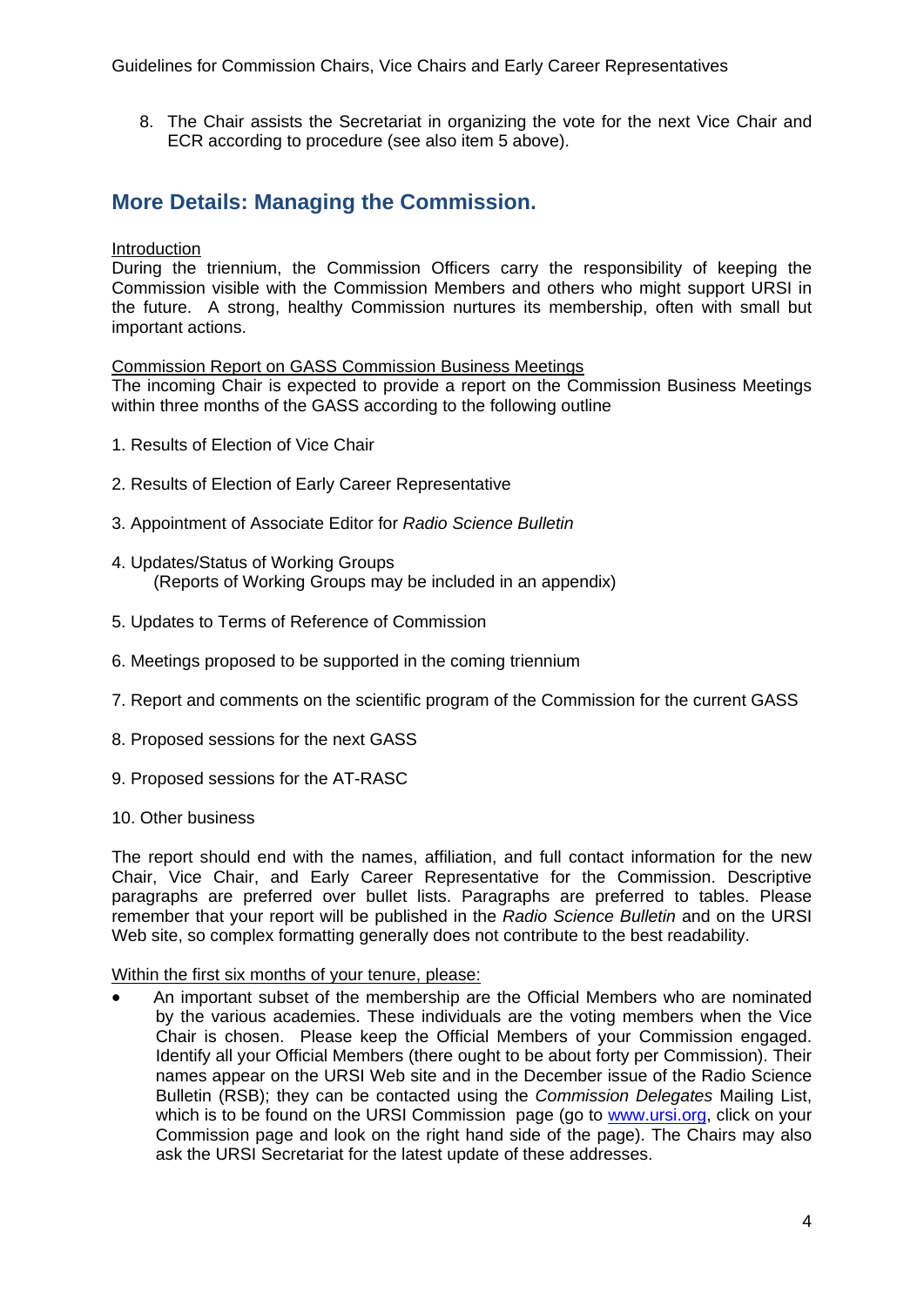8. The Chair assists the Secretariat in organizing the vote for the next Vice Chair and ECR according to procedure (see also item 5 above).

## **More Details: Managing the Commission.**

#### Introduction

During the triennium, the Commission Officers carry the responsibility of keeping the Commission visible with the Commission Members and others who might support URSI in the future. A strong, healthy Commission nurtures its membership, often with small but important actions.

Commission Report on GASS Commission Business Meetings

The incoming Chair is expected to provide a report on the Commission Business Meetings within three months of the GASS according to the following outline

- 1. Results of Election of Vice Chair
- 2. Results of Election of Early Career Representative
- 3. Appointment of Associate Editor for *Radio Science Bulletin*
- 4. Updates/Status of Working Groups (Reports of Working Groups may be included in an appendix)
- 5. Updates to Terms of Reference of Commission
- 6. Meetings proposed to be supported in the coming triennium
- 7. Report and comments on the scientific program of the Commission for the current GASS
- 8. Proposed sessions for the next GASS
- 9. Proposed sessions for the AT-RASC
- 10. Other business

The report should end with the names, affiliation, and full contact information for the new Chair, Vice Chair, and Early Career Representative for the Commission. Descriptive paragraphs are preferred over bullet lists. Paragraphs are preferred to tables. Please remember that your report will be published in the *Radio Science Bulletin* and on the URSI Web site, so complex formatting generally does not contribute to the best readability.

#### Within the first six months of your tenure, please:

 An important subset of the membership are the Official Members who are nominated by the various academies. These individuals are the voting members when the Vice Chair is chosen. Please keep the Official Members of your Commission engaged. Identify all your Official Members (there ought to be about forty per Commission). Their names appear on the URSI Web site and in the December issue of the Radio Science Bulletin (RSB); they can be contacted using the *Commission Delegates* Mailing List, which is to be found on the URSI Commission page (go to www.ursi.org, click on your Commission page and look on the right hand side of the page). The Chairs may also ask the URSI Secretariat for the latest update of these addresses.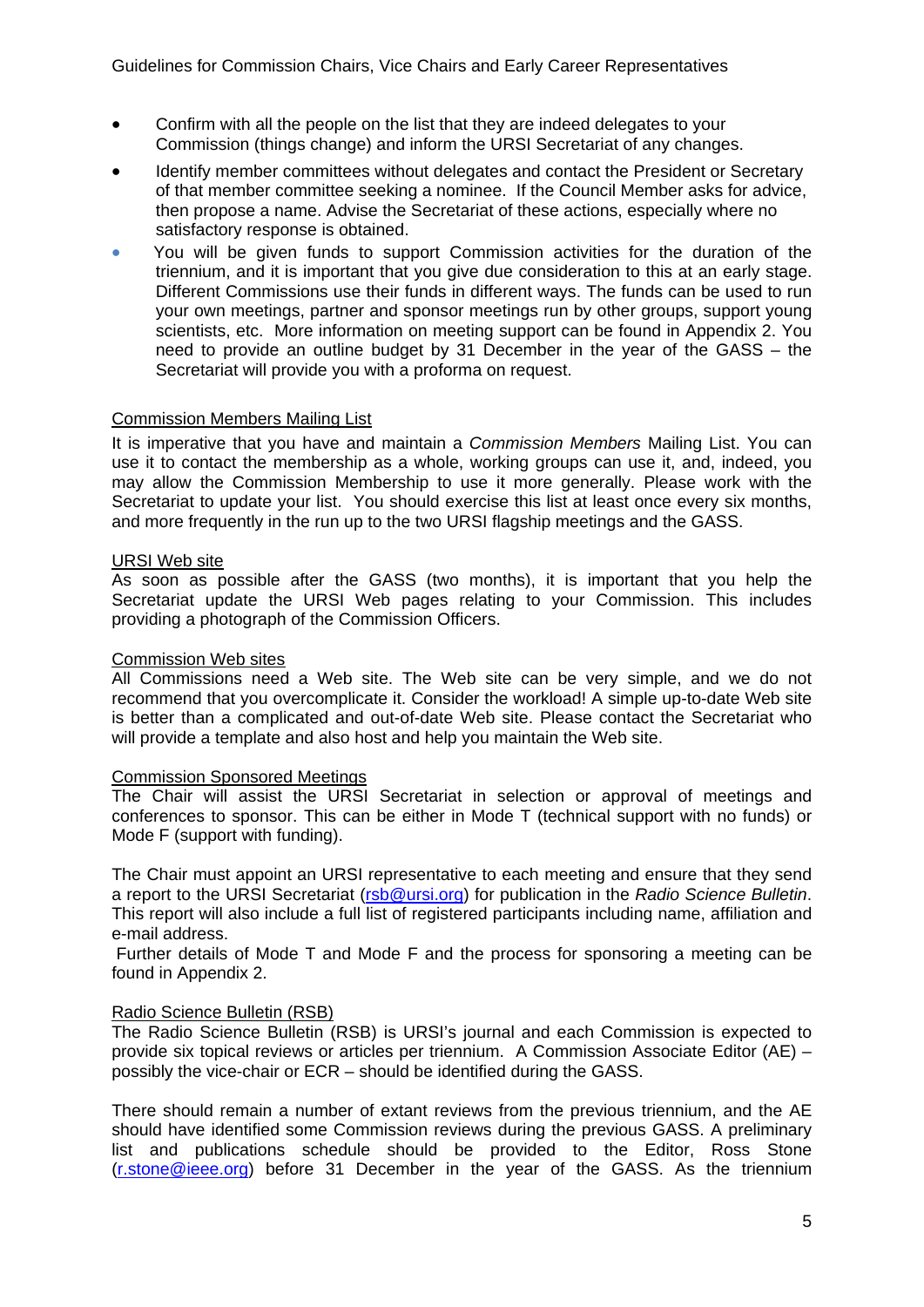- Confirm with all the people on the list that they are indeed delegates to your Commission (things change) and inform the URSI Secretariat of any changes.
- Identify member committees without delegates and contact the President or Secretary of that member committee seeking a nominee. If the Council Member asks for advice, then propose a name. Advise the Secretariat of these actions, especially where no satisfactory response is obtained.
- You will be given funds to support Commission activities for the duration of the triennium, and it is important that you give due consideration to this at an early stage. Different Commissions use their funds in different ways. The funds can be used to run your own meetings, partner and sponsor meetings run by other groups, support young scientists, etc. More information on meeting support can be found in Appendix 2. You need to provide an outline budget by 31 December in the year of the GASS – the Secretariat will provide you with a proforma on request.

#### Commission Members Mailing List

It is imperative that you have and maintain a *Commission Members* Mailing List. You can use it to contact the membership as a whole, working groups can use it, and, indeed, you may allow the Commission Membership to use it more generally. Please work with the Secretariat to update your list. You should exercise this list at least once every six months, and more frequently in the run up to the two URSI flagship meetings and the GASS.

#### URSI Web site

As soon as possible after the GASS (two months), it is important that you help the Secretariat update the URSI Web pages relating to your Commission. This includes providing a photograph of the Commission Officers.

#### Commission Web sites

All Commissions need a Web site. The Web site can be very simple, and we do not recommend that you overcomplicate it. Consider the workload! A simple up-to-date Web site is better than a complicated and out-of-date Web site. Please contact the Secretariat who will provide a template and also host and help you maintain the Web site.

#### Commission Sponsored Meetings

The Chair will assist the URSI Secretariat in selection or approval of meetings and conferences to sponsor. This can be either in Mode T (technical support with no funds) or Mode F (support with funding).

The Chair must appoint an URSI representative to each meeting and ensure that they send a report to the URSI Secretariat (rsb@ursi.org) for publication in the *Radio Science Bulletin*. This report will also include a full list of registered participants including name, affiliation and e-mail address.

 Further details of Mode T and Mode F and the process for sponsoring a meeting can be found in Appendix 2.

#### Radio Science Bulletin (RSB)

The Radio Science Bulletin (RSB) is URSI's journal and each Commission is expected to provide six topical reviews or articles per triennium. A Commission Associate Editor (AE) – possibly the vice-chair or ECR – should be identified during the GASS.

There should remain a number of extant reviews from the previous triennium, and the AE should have identified some Commission reviews during the previous GASS. A preliminary list and publications schedule should be provided to the Editor, Ross Stone (r.stone@ieee.org) before 31 December in the year of the GASS. As the triennium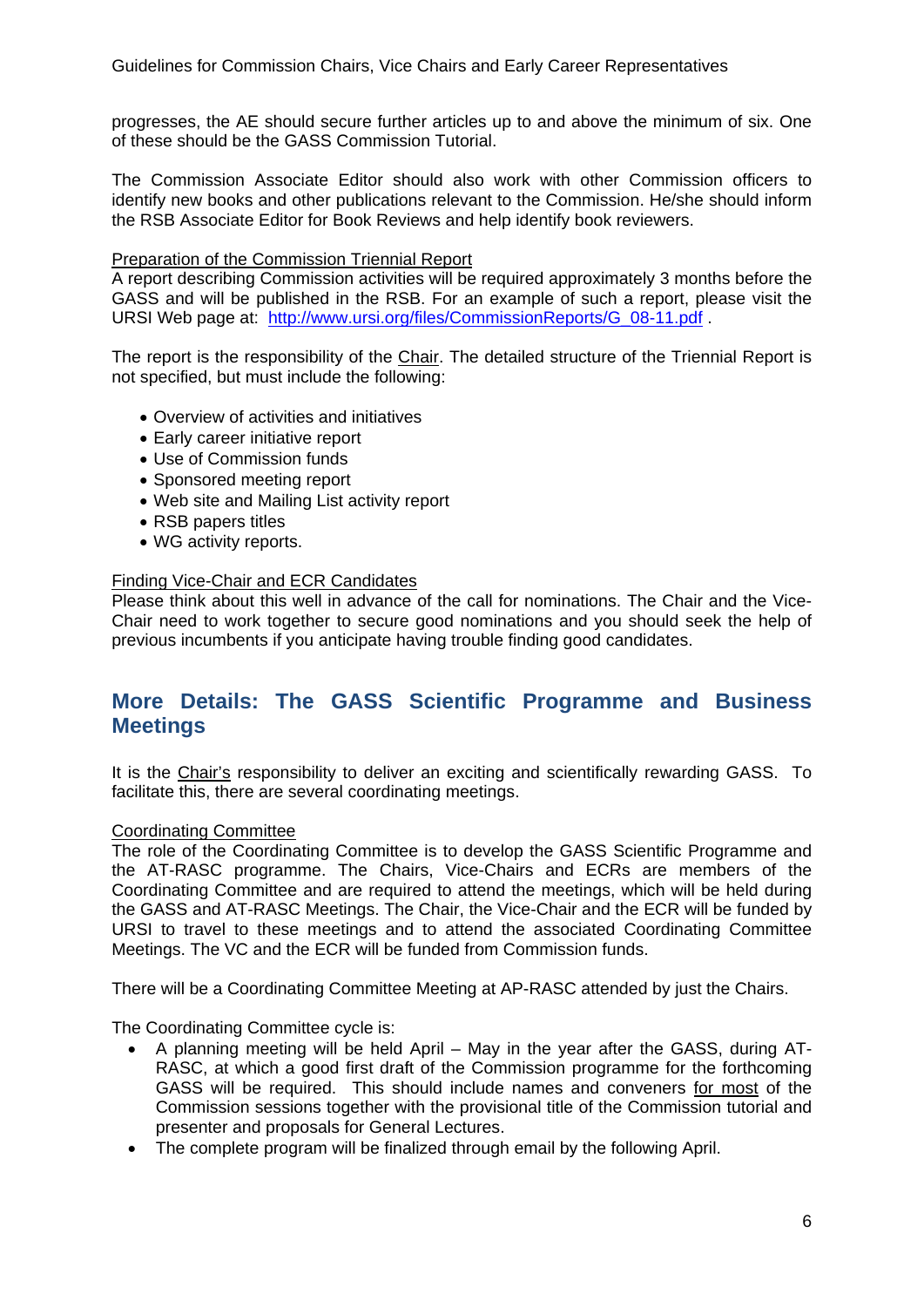progresses, the AE should secure further articles up to and above the minimum of six. One of these should be the GASS Commission Tutorial.

The Commission Associate Editor should also work with other Commission officers to identify new books and other publications relevant to the Commission. He/she should inform the RSB Associate Editor for Book Reviews and help identify book reviewers.

#### Preparation of the Commission Triennial Report

A report describing Commission activities will be required approximately 3 months before the GASS and will be published in the RSB. For an example of such a report, please visit the URSI Web page at: http://www.ursi.org/files/CommissionReports/G\_08-11.pdf .

The report is the responsibility of the Chair. The detailed structure of the Triennial Report is not specified, but must include the following:

- Overview of activities and initiatives
- Early career initiative report
- Use of Commission funds
- Sponsored meeting report
- Web site and Mailing List activity report
- RSB papers titles
- WG activity reports.

#### Finding Vice-Chair and ECR Candidates

Please think about this well in advance of the call for nominations. The Chair and the Vice-Chair need to work together to secure good nominations and you should seek the help of previous incumbents if you anticipate having trouble finding good candidates.

### **More Details: The GASS Scientific Programme and Business Meetings**

It is the Chair's responsibility to deliver an exciting and scientifically rewarding GASS. To facilitate this, there are several coordinating meetings.

#### Coordinating Committee

The role of the Coordinating Committee is to develop the GASS Scientific Programme and the AT-RASC programme. The Chairs, Vice-Chairs and ECRs are members of the Coordinating Committee and are required to attend the meetings, which will be held during the GASS and AT-RASC Meetings. The Chair, the Vice-Chair and the ECR will be funded by URSI to travel to these meetings and to attend the associated Coordinating Committee Meetings. The VC and the ECR will be funded from Commission funds.

There will be a Coordinating Committee Meeting at AP-RASC attended by just the Chairs.

The Coordinating Committee cycle is:

- A planning meeting will be held April May in the year after the GASS, during AT-RASC, at which a good first draft of the Commission programme for the forthcoming GASS will be required. This should include names and conveners for most of the Commission sessions together with the provisional title of the Commission tutorial and presenter and proposals for General Lectures.
- The complete program will be finalized through email by the following April.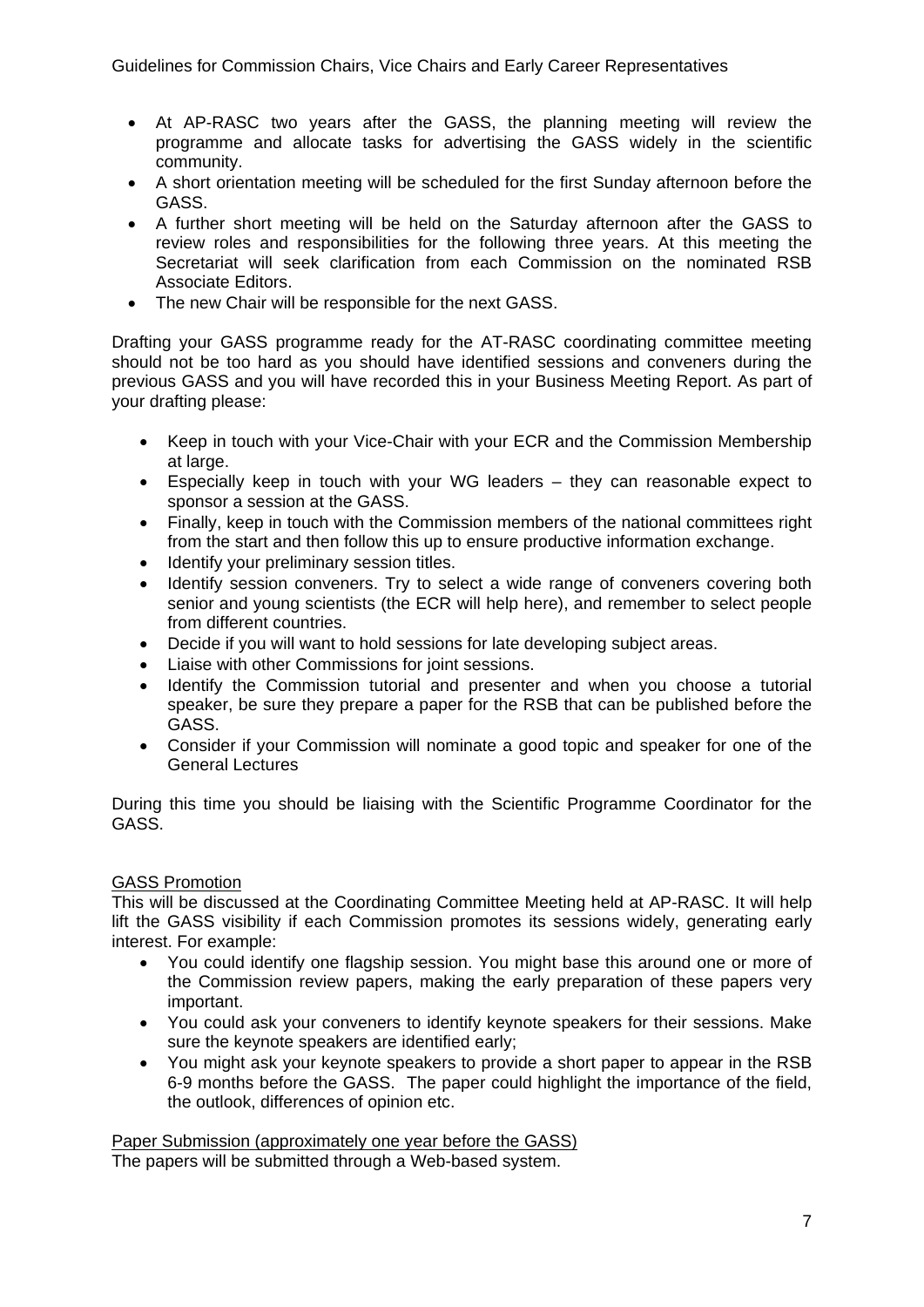- At AP-RASC two years after the GASS, the planning meeting will review the programme and allocate tasks for advertising the GASS widely in the scientific community.
- A short orientation meeting will be scheduled for the first Sunday afternoon before the GASS.
- A further short meeting will be held on the Saturday afternoon after the GASS to review roles and responsibilities for the following three years. At this meeting the Secretariat will seek clarification from each Commission on the nominated RSB Associate Editors.
- The new Chair will be responsible for the next GASS.

Drafting your GASS programme ready for the AT-RASC coordinating committee meeting should not be too hard as you should have identified sessions and conveners during the previous GASS and you will have recorded this in your Business Meeting Report. As part of your drafting please:

- Keep in touch with your Vice-Chair with your ECR and the Commission Membership at large.
- Especially keep in touch with your WG leaders they can reasonable expect to sponsor a session at the GASS.
- Finally, keep in touch with the Commission members of the national committees right from the start and then follow this up to ensure productive information exchange.
- Identify your preliminary session titles.
- Identify session conveners. Try to select a wide range of conveners covering both senior and young scientists (the ECR will help here), and remember to select people from different countries.
- Decide if you will want to hold sessions for late developing subject areas.
- Liaise with other Commissions for joint sessions.
- Identify the Commission tutorial and presenter and when you choose a tutorial speaker, be sure they prepare a paper for the RSB that can be published before the GASS.
- Consider if your Commission will nominate a good topic and speaker for one of the General Lectures

During this time you should be liaising with the Scientific Programme Coordinator for the GASS.

### GASS Promotion

This will be discussed at the Coordinating Committee Meeting held at AP-RASC. It will help lift the GASS visibility if each Commission promotes its sessions widely, generating early interest. For example:

- You could identify one flagship session. You might base this around one or more of the Commission review papers, making the early preparation of these papers very important.
- You could ask your conveners to identify keynote speakers for their sessions. Make sure the keynote speakers are identified early;
- You might ask your keynote speakers to provide a short paper to appear in the RSB 6-9 months before the GASS. The paper could highlight the importance of the field, the outlook, differences of opinion etc.

Paper Submission (approximately one year before the GASS) The papers will be submitted through a Web-based system.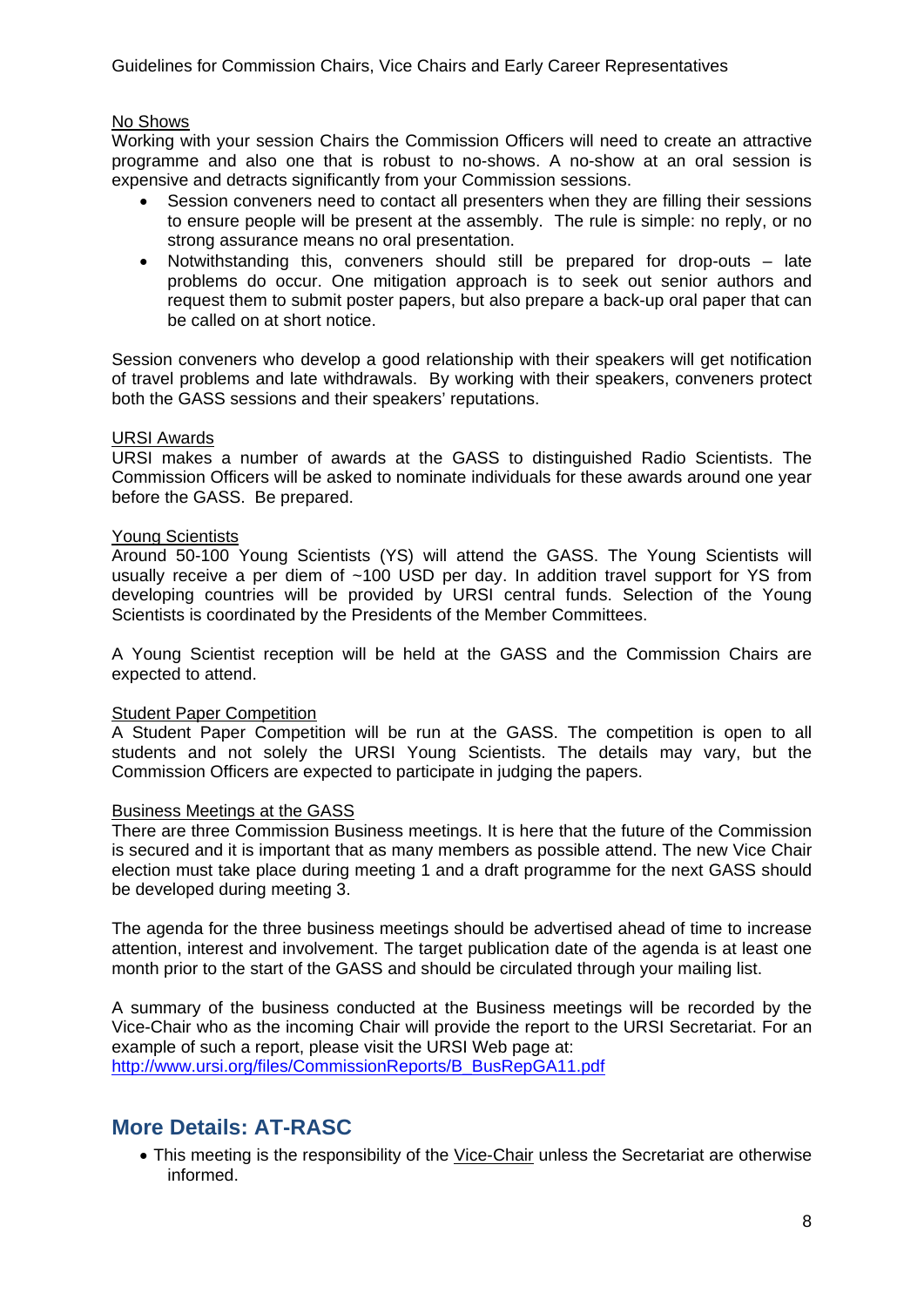#### No Shows

Working with your session Chairs the Commission Officers will need to create an attractive programme and also one that is robust to no-shows. A no-show at an oral session is expensive and detracts significantly from your Commission sessions.

- Session conveners need to contact all presenters when they are filling their sessions to ensure people will be present at the assembly. The rule is simple: no reply, or no strong assurance means no oral presentation.
- Notwithstanding this, conveners should still be prepared for drop-outs late problems do occur. One mitigation approach is to seek out senior authors and request them to submit poster papers, but also prepare a back-up oral paper that can be called on at short notice.

Session conveners who develop a good relationship with their speakers will get notification of travel problems and late withdrawals. By working with their speakers, conveners protect both the GASS sessions and their speakers' reputations.

#### URSI Awards

URSI makes a number of awards at the GASS to distinguished Radio Scientists. The Commission Officers will be asked to nominate individuals for these awards around one year before the GASS. Be prepared.

#### Young Scientists

Around 50-100 Young Scientists (YS) will attend the GASS. The Young Scientists will usually receive a per diem of ~100 USD per day. In addition travel support for YS from developing countries will be provided by URSI central funds. Selection of the Young Scientists is coordinated by the Presidents of the Member Committees.

A Young Scientist reception will be held at the GASS and the Commission Chairs are expected to attend.

#### Student Paper Competition

A Student Paper Competition will be run at the GASS. The competition is open to all students and not solely the URSI Young Scientists. The details may vary, but the Commission Officers are expected to participate in judging the papers.

#### Business Meetings at the GASS

There are three Commission Business meetings. It is here that the future of the Commission is secured and it is important that as many members as possible attend. The new Vice Chair election must take place during meeting 1 and a draft programme for the next GASS should be developed during meeting 3.

The agenda for the three business meetings should be advertised ahead of time to increase attention, interest and involvement. The target publication date of the agenda is at least one month prior to the start of the GASS and should be circulated through your mailing list.

A summary of the business conducted at the Business meetings will be recorded by the Vice-Chair who as the incoming Chair will provide the report to the URSI Secretariat. For an example of such a report, please visit the URSI Web page at: http://www.ursi.org/files/CommissionReports/B\_BusRepGA11.pdf

### **More Details: AT-RASC**

• This meeting is the responsibility of the Vice-Chair unless the Secretariat are otherwise informed.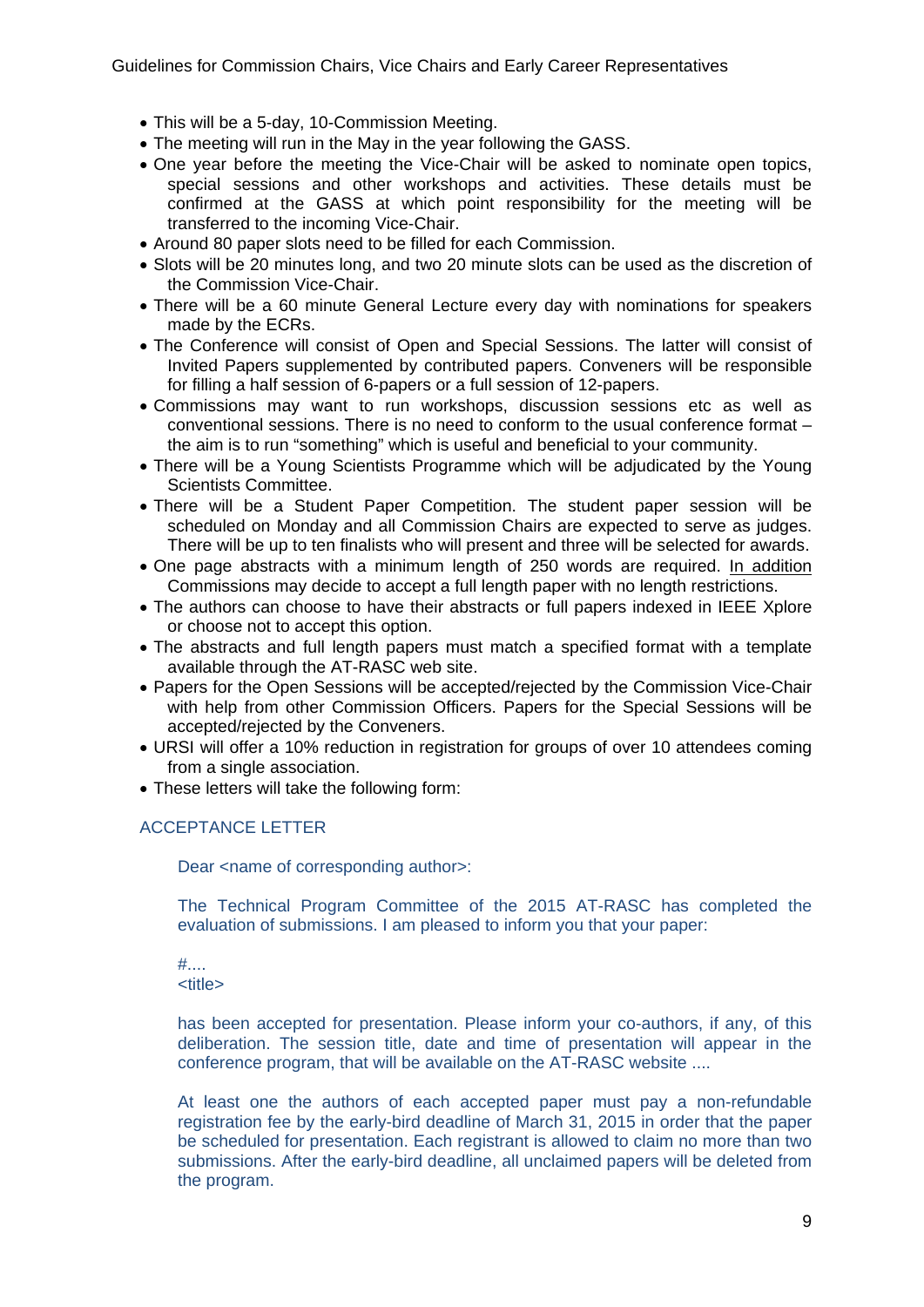- This will be a 5-day, 10-Commission Meeting.
- The meeting will run in the May in the year following the GASS.
- One vear before the meeting the Vice-Chair will be asked to nominate open topics, special sessions and other workshops and activities. These details must be confirmed at the GASS at which point responsibility for the meeting will be transferred to the incoming Vice-Chair.
- Around 80 paper slots need to be filled for each Commission.
- Slots will be 20 minutes long, and two 20 minute slots can be used as the discretion of the Commission Vice-Chair.
- There will be a 60 minute General Lecture every day with nominations for speakers made by the ECRs.
- The Conference will consist of Open and Special Sessions. The latter will consist of Invited Papers supplemented by contributed papers. Conveners will be responsible for filling a half session of 6-papers or a full session of 12-papers.
- Commissions may want to run workshops, discussion sessions etc as well as conventional sessions. There is no need to conform to the usual conference format – the aim is to run "something" which is useful and beneficial to your community.
- There will be a Young Scientists Programme which will be adjudicated by the Young Scientists Committee.
- There will be a Student Paper Competition. The student paper session will be scheduled on Monday and all Commission Chairs are expected to serve as judges. There will be up to ten finalists who will present and three will be selected for awards.
- One page abstracts with a minimum length of 250 words are required. In addition Commissions may decide to accept a full length paper with no length restrictions.
- The authors can choose to have their abstracts or full papers indexed in IEEE Xplore or choose not to accept this option.
- The abstracts and full length papers must match a specified format with a template available through the AT-RASC web site.
- Papers for the Open Sessions will be accepted/rejected by the Commission Vice-Chair with help from other Commission Officers. Papers for the Special Sessions will be accepted/rejected by the Conveners.
- URSI will offer a 10% reduction in registration for groups of over 10 attendees coming from a single association.
- These letters will take the following form:

#### ACCEPTANCE LETTER

Dear <name of corresponding author>:

The Technical Program Committee of the 2015 AT-RASC has completed the evaluation of submissions. I am pleased to inform you that your paper:

#.... <title>

has been accepted for presentation. Please inform your co-authors, if any, of this deliberation. The session title, date and time of presentation will appear in the conference program, that will be available on the AT-RASC website ....

At least one the authors of each accepted paper must pay a non-refundable registration fee by the early-bird deadline of March 31, 2015 in order that the paper be scheduled for presentation. Each registrant is allowed to claim no more than two submissions. After the early-bird deadline, all unclaimed papers will be deleted from the program.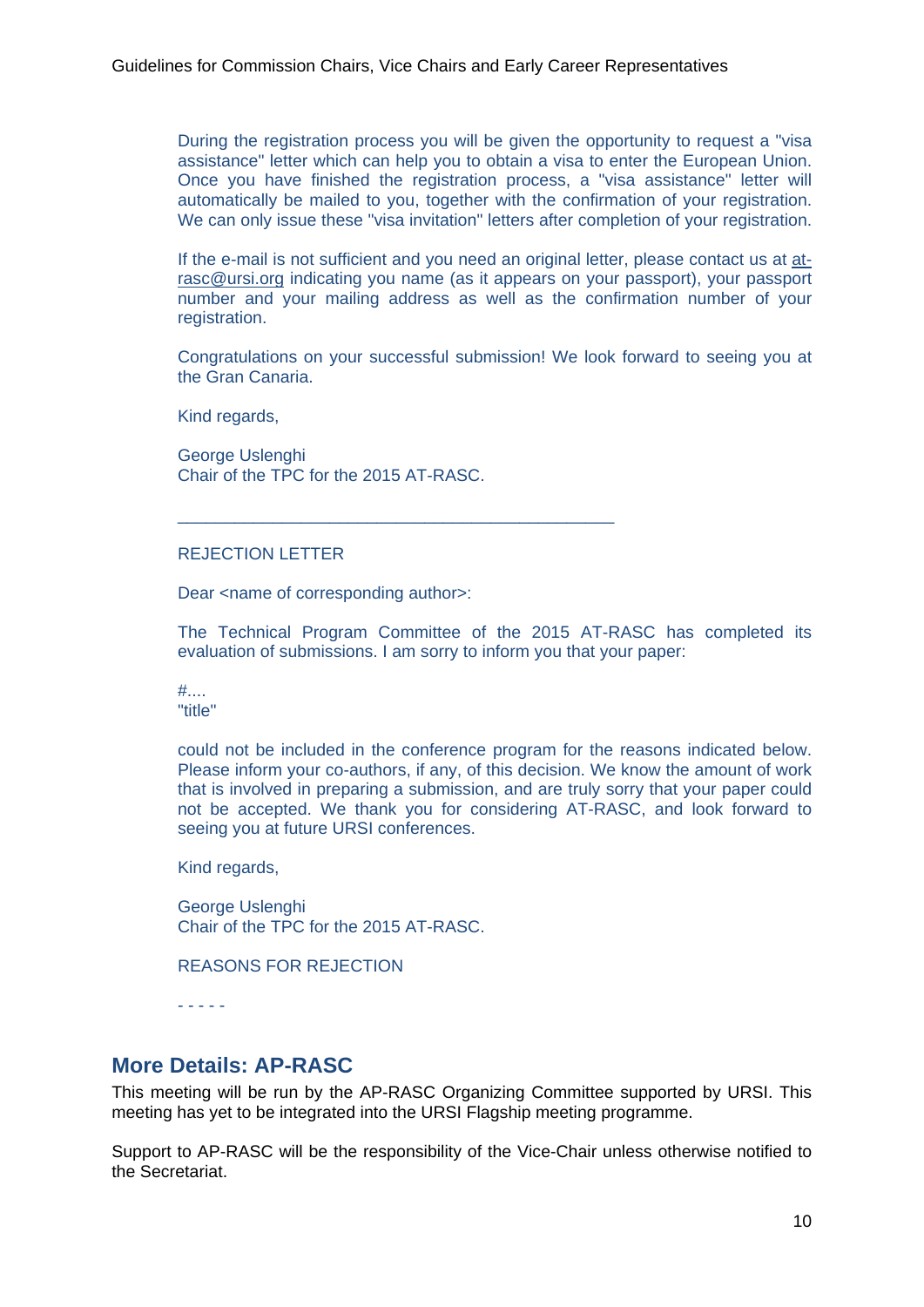During the registration process you will be given the opportunity to request a "visa assistance" letter which can help you to obtain a visa to enter the European Union. Once you have finished the registration process, a "visa assistance" letter will automatically be mailed to you, together with the confirmation of your registration. We can only issue these "visa invitation" letters after completion of your registration.

If the e-mail is not sufficient and you need an original letter, please contact us at atrasc@ursi.org indicating you name (as it appears on your passport), your passport number and your mailing address as well as the confirmation number of your registration.

Congratulations on your successful submission! We look forward to seeing you at the Gran Canaria.

Kind regards,

George Uslenghi Chair of the TPC for the 2015 AT-RASC.

\_\_\_\_\_\_\_\_\_\_\_\_\_\_\_\_\_\_\_\_\_\_\_\_\_\_\_\_\_\_\_\_\_\_\_\_\_\_\_\_\_\_\_\_\_\_

#### REJECTION LETTER

Dear <name of corresponding author>:

The Technical Program Committee of the 2015 AT-RASC has completed its evaluation of submissions. I am sorry to inform you that your paper:

#.... "title"

could not be included in the conference program for the reasons indicated below. Please inform your co-authors, if any, of this decision. We know the amount of work that is involved in preparing a submission, and are truly sorry that your paper could not be accepted. We thank you for considering AT-RASC, and look forward to seeing you at future URSI conferences.

Kind regards,

George Uslenghi Chair of the TPC for the 2015 AT-RASC.

REASONS FOR REJECTION

- - - - -

### **More Details: AP-RASC**

This meeting will be run by the AP-RASC Organizing Committee supported by URSI. This meeting has yet to be integrated into the URSI Flagship meeting programme.

Support to AP-RASC will be the responsibility of the Vice-Chair unless otherwise notified to the Secretariat.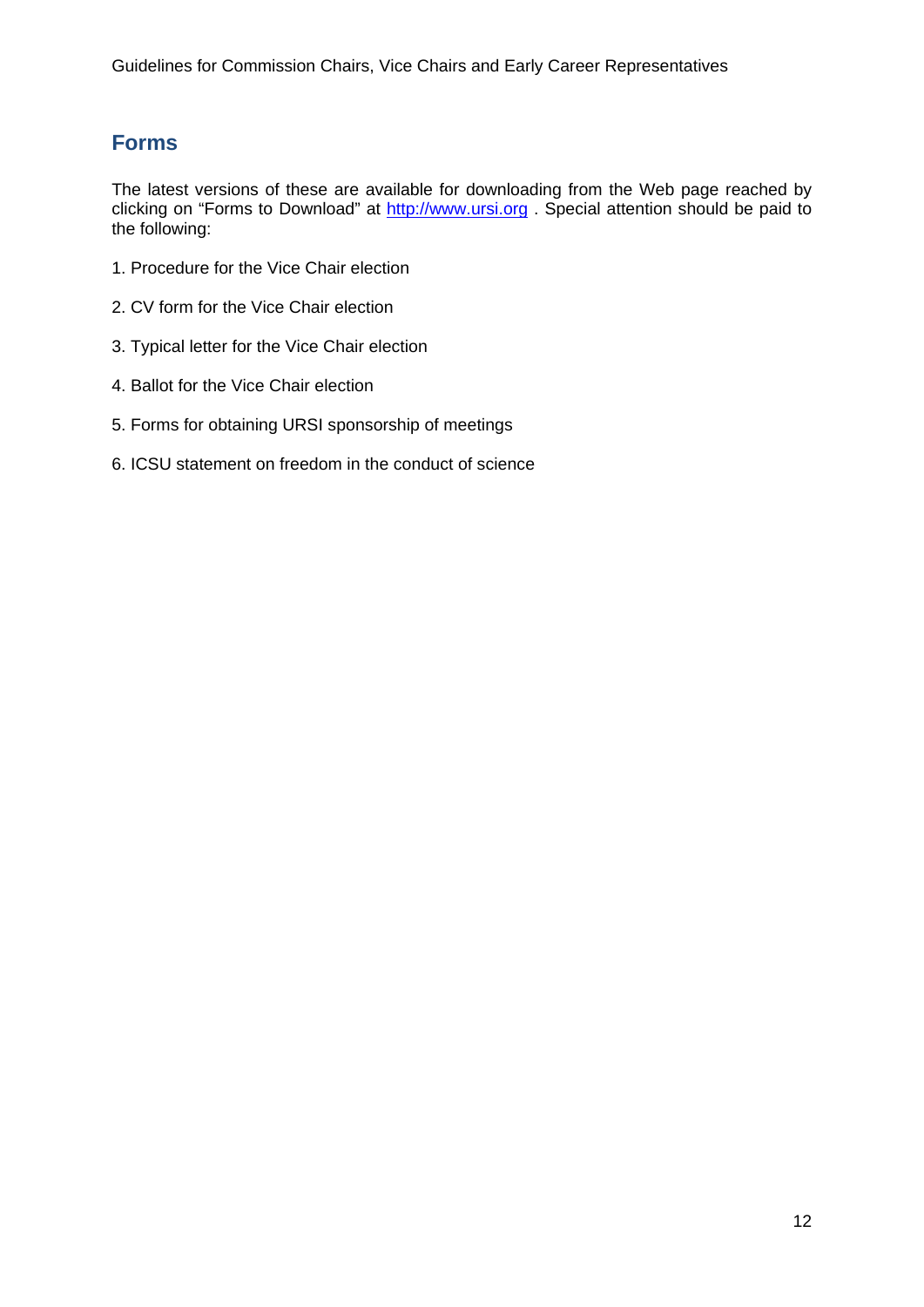## **Forms**

The latest versions of these are available for downloading from the Web page reached by clicking on "Forms to Download" at http://www.ursi.org . Special attention should be paid to the following:

- 1. Procedure for the Vice Chair election
- 2. CV form for the Vice Chair election
- 3. Typical letter for the Vice Chair election
- 4. Ballot for the Vice Chair election
- 5. Forms for obtaining URSI sponsorship of meetings
- 6. ICSU statement on freedom in the conduct of science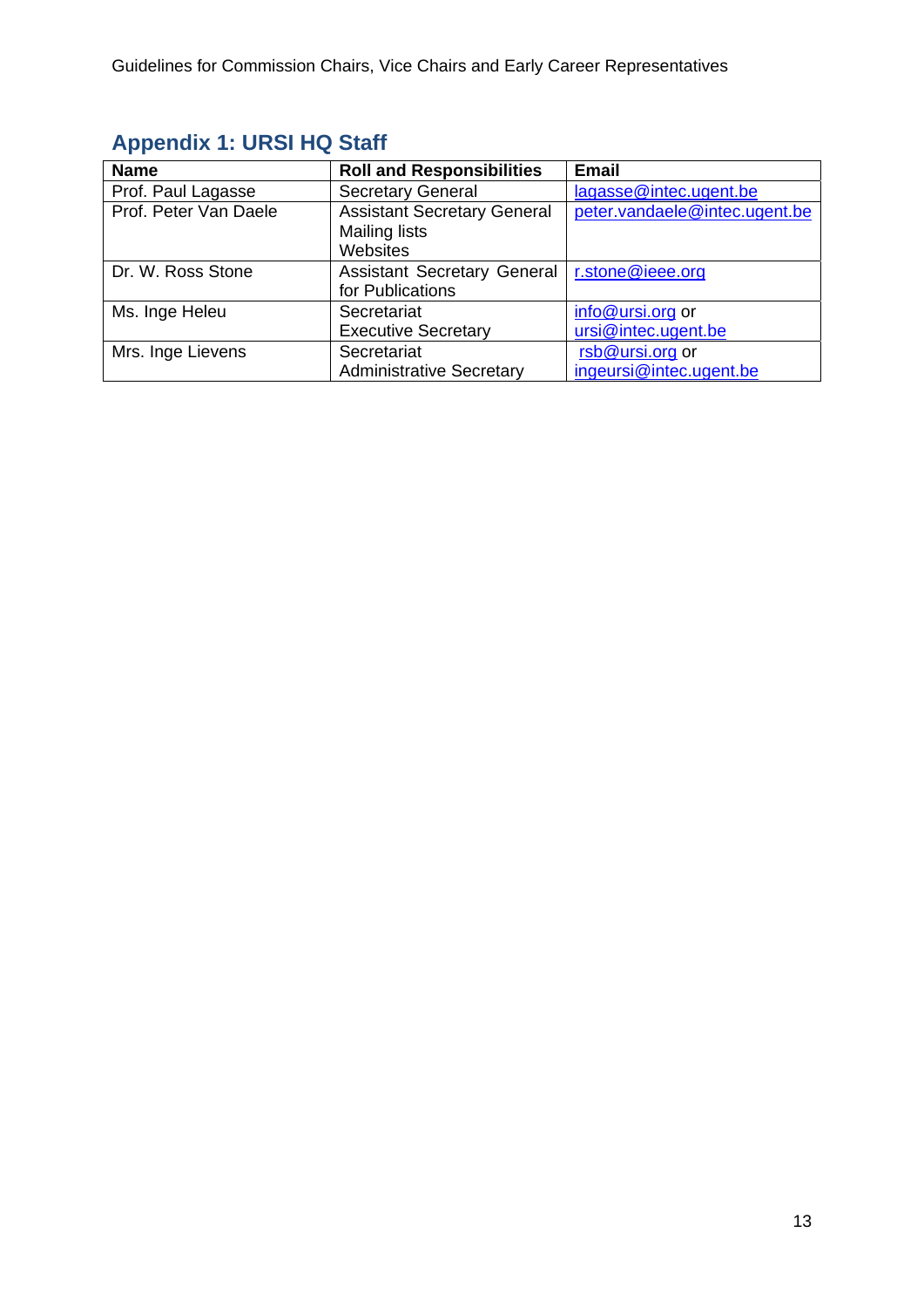| <b>Name</b>           | <b>Roll and Responsibilities</b>   | <b>Email</b>                  |
|-----------------------|------------------------------------|-------------------------------|
| Prof. Paul Lagasse    | <b>Secretary General</b>           | lagasse@intec.ugent.be        |
| Prof. Peter Van Daele | <b>Assistant Secretary General</b> | peter.vandaele@intec.ugent.be |
|                       | <b>Mailing lists</b>               |                               |
|                       | Websites                           |                               |
| Dr. W. Ross Stone     | <b>Assistant Secretary General</b> | r.stone@ieee.org              |
|                       | for Publications                   |                               |
| Ms. Inge Heleu        | Secretariat                        | info@ursi.org or              |
|                       | <b>Executive Secretary</b>         | ursi@intec.ugent.be           |
| Mrs. Inge Lievens     | Secretariat                        | rsb@ursi.org or               |
|                       | <b>Administrative Secretary</b>    | ingeursi@intec.ugent.be       |

# **Appendix 1: URSI HQ Staff**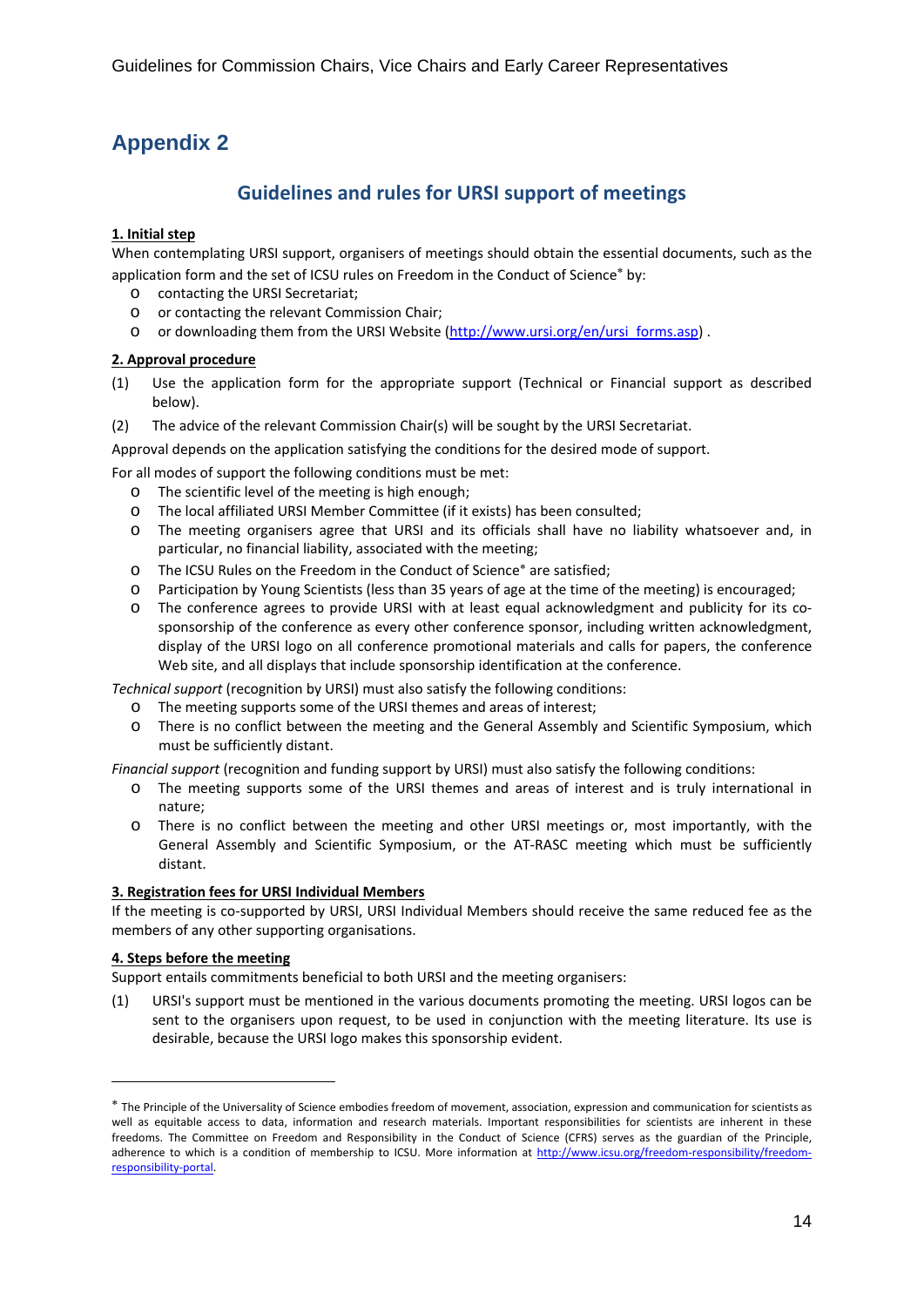# **Appendix 2**

### **Guidelines and rules for URSI support of meetings**

#### **1. Initial step**

When contemplating URSI support, organisers of meetings should obtain the essential documents, such as the application form and the set of ICSU rules on Freedom in the Conduct of Science\* by:

- o contacting the URSI Secretariat;
- o or contacting the relevant Commission Chair;
- o or downloading them from the URSI Website (http://www.ursi.org/en/ursi\_forms.asp).

#### **2. Approval procedure**

- (1) Use the application form for the appropriate support (Technical or Financial support as described below).
- (2) The advice of the relevant Commission Chair(s) will be sought by the URSI Secretariat.

Approval depends on the application satisfying the conditions for the desired mode of support.

For all modes of support the following conditions must be met:

- o The scientific level of the meeting is high enough;
- o The local affiliated URSI Member Committee (if it exists) has been consulted;
- o The meeting organisers agree that URSI and its officials shall have no liability whatsoever and, in particular, no financial liability, associated with the meeting;
- o The ICSU Rules on the Freedom in the Conduct of Science<sup>\*</sup> are satisfied:
- o Participation by Young Scientists (less than 35 years of age at the time of the meeting) is encouraged;
- o The conference agrees to provide URSI with at least equal acknowledgment and publicity for its co‐ sponsorship of the conference as every other conference sponsor, including written acknowledgment, display of the URSI logo on all conference promotional materials and calls for papers, the conference Web site, and all displays that include sponsorship identification at the conference.

*Technical support* (recognition by URSI) must also satisfy the following conditions:

- o The meeting supports some of the URSI themes and areas of interest;
- o There is no conflict between the meeting and the General Assembly and Scientific Symposium, which must be sufficiently distant.

*Financial support* (recognition and funding support by URSI) must also satisfy the following conditions:

- o The meeting supports some of the URSI themes and areas of interest and is truly international in nature;
- o There is no conflict between the meeting and other URSI meetings or, most importantly, with the General Assembly and Scientific Symposium, or the AT‐RASC meeting which must be sufficiently distant.

#### **3. Registration fees for URSI Individual Members**

If the meeting is co-supported by URSI, URSI Individual Members should receive the same reduced fee as the members of any other supporting organisations.

#### **4. Steps before the meeting**

1

Support entails commitments beneficial to both URSI and the meeting organisers:

(1) URSI's support must be mentioned in the various documents promoting the meeting. URSI logos can be sent to the organisers upon request, to be used in conjunction with the meeting literature. Its use is desirable, because the URSI logo makes this sponsorship evident.

The Principle of the Universality of Science embodies freedom of movement, association, expression and communication for scientists as well as equitable access to data, information and research materials. Important responsibilities for scientists are inherent in these freedoms. The Committee on Freedom and Responsibility in the Conduct of Science (CFRS) serves as the guardian of the Principle, adherence to which is a condition of membership to ICSU. More information at http://www.icsu.org/freedom-responsibility/freedomresponsibility‐portal.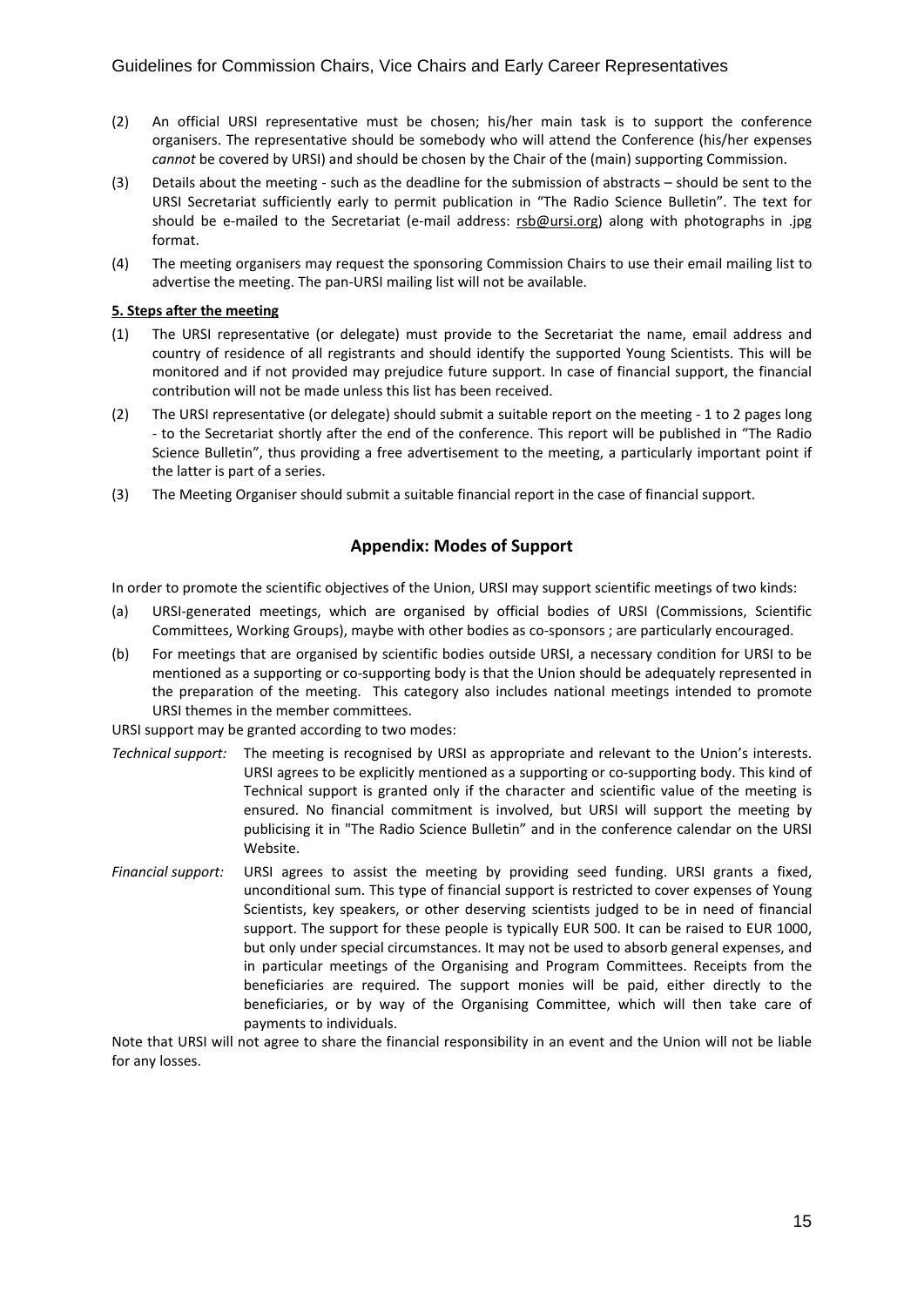- (2) An official URSI representative must be chosen; his/her main task is to support the conference organisers. The representative should be somebody who will attend the Conference (his/her expenses *cannot* be covered by URSI) and should be chosen by the Chair of the (main) supporting Commission.
- (3) Details about the meeting ‐ such as the deadline for the submission of abstracts should be sent to the URSI Secretariat sufficiently early to permit publication in "The Radio Science Bulletin". The text for should be e-mailed to the Secretariat (e-mail address: rsb@ursi.org) along with photographs in .jpg format.
- (4) The meeting organisers may request the sponsoring Commission Chairs to use their email mailing list to advertise the meeting. The pan‐URSI mailing list will not be available.

#### **5. Steps after the meeting**

- (1) The URSI representative (or delegate) must provide to the Secretariat the name, email address and country of residence of all registrants and should identify the supported Young Scientists. This will be monitored and if not provided may prejudice future support. In case of financial support, the financial contribution will not be made unless this list has been received.
- (2) The URSI representative (or delegate) should submit a suitable report on the meeting ‐ 1 to 2 pages long ‐ to the Secretariat shortly after the end of the conference. This report will be published in "The Radio Science Bulletin", thus providing a free advertisement to the meeting, a particularly important point if the latter is part of a series.
- (3) The Meeting Organiser should submit a suitable financial report in the case of financial support.

#### **Appendix: Modes of Support**

In order to promote the scientific objectives of the Union, URSI may support scientific meetings of two kinds:

- (a) URSI‐generated meetings, which are organised by official bodies of URSI (Commissions, Scientific Committees, Working Groups), maybe with other bodies as co‐sponsors ; are particularly encouraged.
- (b) For meetings that are organised by scientific bodies outside URSI, a necessary condition for URSI to be mentioned as a supporting or co-supporting body is that the Union should be adequately represented in the preparation of the meeting. This category also includes national meetings intended to promote URSI themes in the member committees.

URSI support may be granted according to two modes:

- *Technical support:* The meeting is recognised by URSI as appropriate and relevant to the Union's interests. URSI agrees to be explicitly mentioned as a supporting or co-supporting body. This kind of Technical support is granted only if the character and scientific value of the meeting is ensured. No financial commitment is involved, but URSI will support the meeting by publicising it in "The Radio Science Bulletin" and in the conference calendar on the URSI Website.
- *Financial support:* URSI agrees to assist the meeting by providing seed funding. URSI grants a fixed, unconditional sum. This type of financial support is restricted to cover expenses of Young Scientists, key speakers, or other deserving scientists judged to be in need of financial support. The support for these people is typically EUR 500. It can be raised to EUR 1000, but only under special circumstances. It may not be used to absorb general expenses, and in particular meetings of the Organising and Program Committees. Receipts from the beneficiaries are required. The support monies will be paid, either directly to the beneficiaries, or by way of the Organising Committee, which will then take care of payments to individuals.

Note that URSI will not agree to share the financial responsibility in an event and the Union will not be liable for any losses.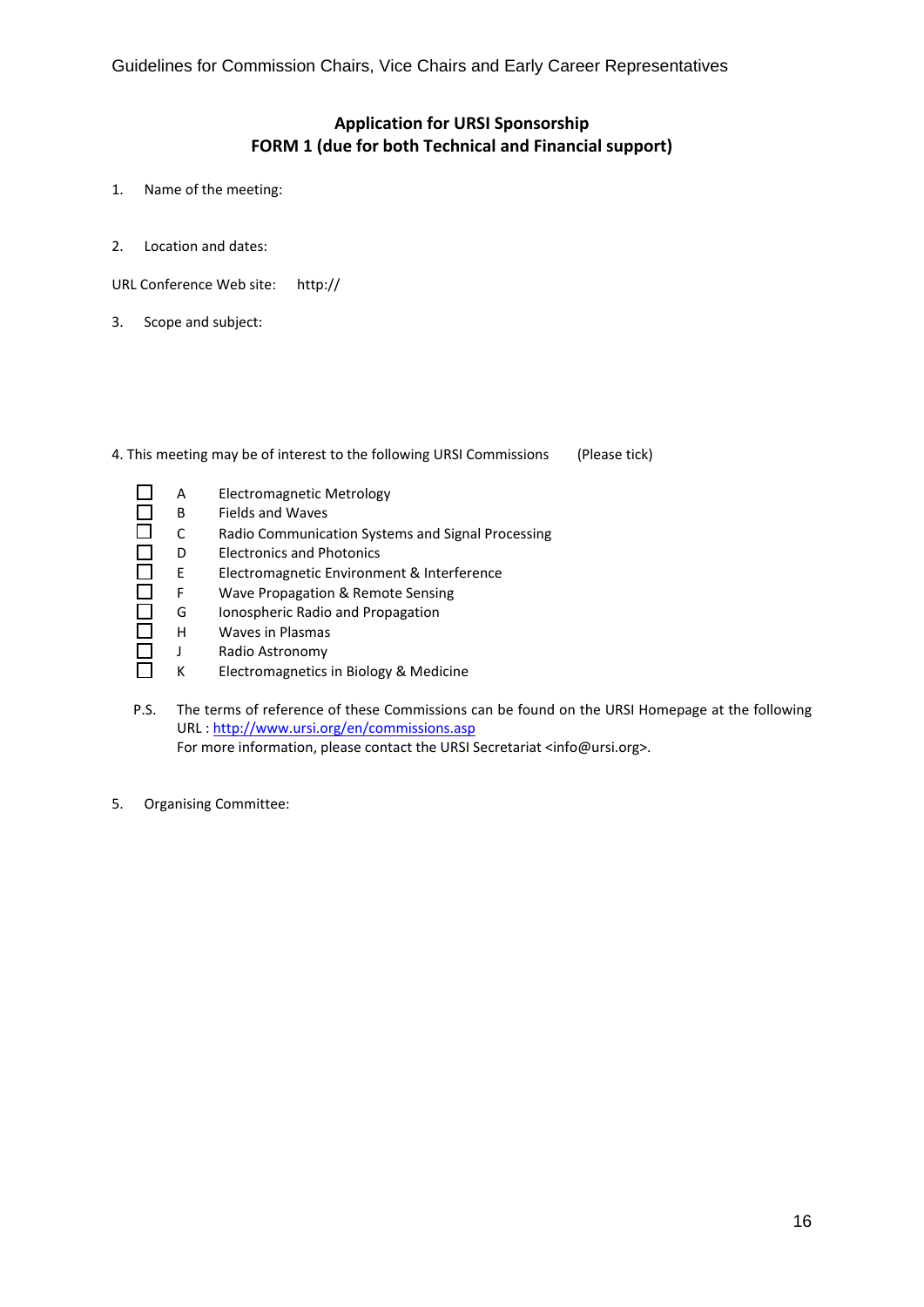### **Application for URSI Sponsorship FORM 1 (due for both Technical and Financial support)**

- 1. Name of the meeting:
- 2. Location and dates:

URL Conference Web site: http://

3. Scope and subject:

4. This meeting may be of interest to the following URSI Commissions (Please tick)

- П A Electromagnetic Metrology  $\Box$ B Fields and Waves ō C Radio Communication Systems and Signal Processing 000000 D Electronics and Photonics E Electromagnetic Environment & Interference F Wave Propagation & Remote Sensing G Ionospheric Radio and Propagation H Waves in Plasmas J Radio Astronomy  $\Box$ 
	- K Electromagnetics in Biology & Medicine
- P.S. The terms of reference of these Commissions can be found on the URSI Homepage at the following URL : http://www.ursi.org/en/commissions.asp For more information, please contact the URSI Secretariat <info@ursi.org>.
- 5. Organising Committee: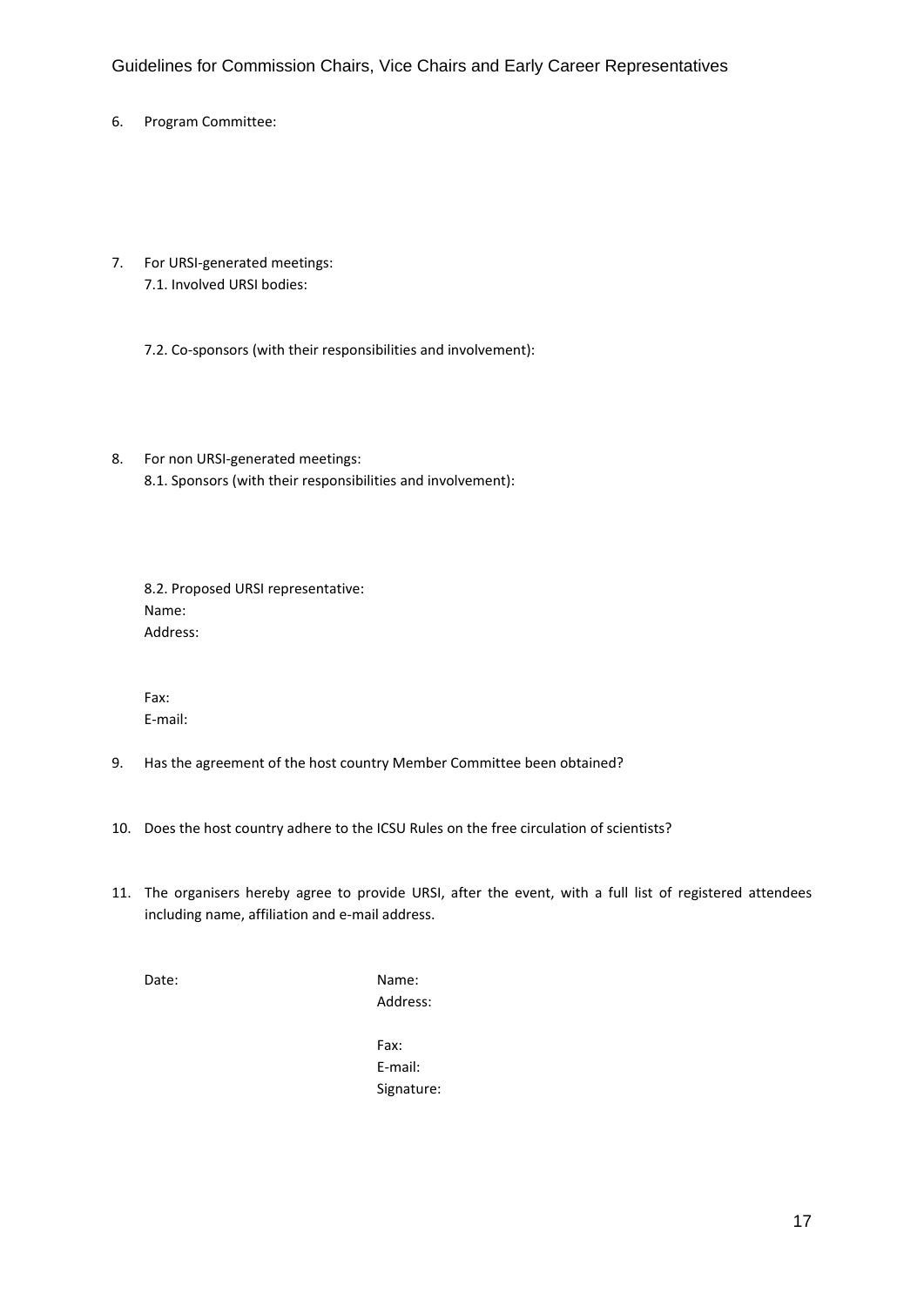- 6. Program Committee:
- 7. For URSI‐generated meetings: 7.1. Involved URSI bodies:
	- 7.2. Co‐sponsors (with their responsibilities and involvement):
- 8. For non URSI‐generated meetings: 8.1. Sponsors (with their responsibilities and involvement):

8.2. Proposed URSI representative: Name: Address:

Fax: E‐mail:

- 9. Has the agreement of the host country Member Committee been obtained?
- 10. Does the host country adhere to the ICSU Rules on the free circulation of scientists?
- 11. The organisers hereby agree to provide URSI, after the event, with a full list of registered attendees including name, affiliation and e‐mail address.

Date: Name:

Address:

Fax: E‐mail: Signature: